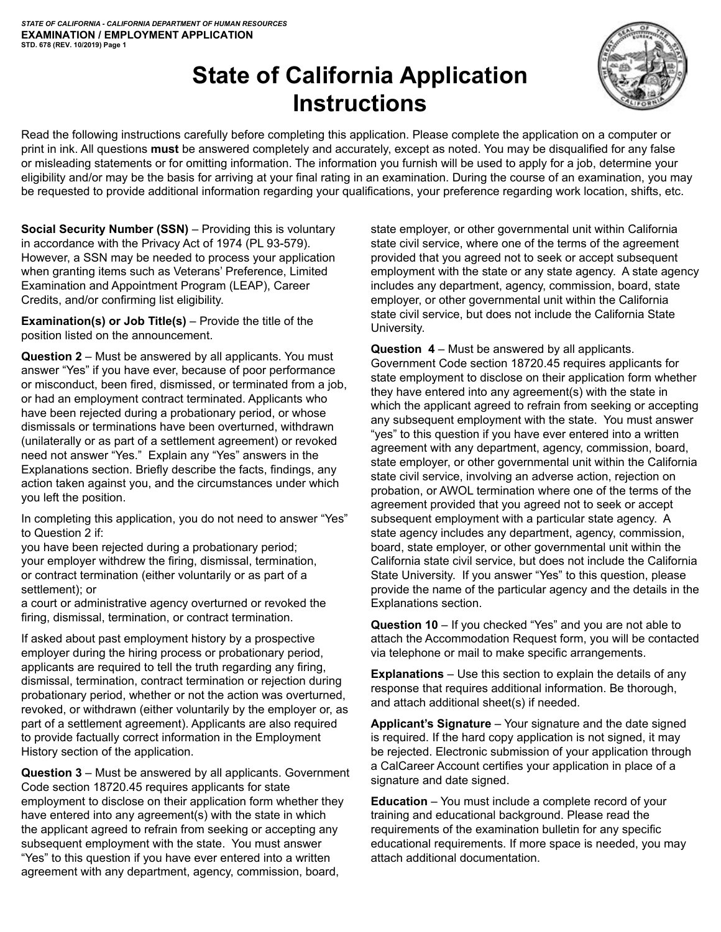# **State of California Application Instructions**



Read the following instructions carefully before completing this application. Please complete the application on a computer or print in ink. All questions **must** be answered completely and accurately, except as noted. You may be disqualified for any false or misleading statements or for omitting information. The information you furnish will be used to apply for a job, determine your eligibility and/or may be the basis for arriving at your final rating in an examination. During the course of an examination, you may be requested to provide additional information regarding your qualifications, your preference regarding work location, shifts, etc.

**Social Security Number (SSN)** – Providing this is voluntary in accordance with the Privacy Act of 1974 (PL 93-579). However, a SSN may be needed to process your application when granting items such as Veterans' Preference, Limited Examination and Appointment Program (LEAP), Career Credits, and/or confirming list eligibility.

**Examination(s) or Job Title(s)** – Provide the title of the position listed on the announcement.

**Question 2** – Must be answered by all applicants. You must answer "Yes" if you have ever, because of poor performance or misconduct, been fired, dismissed, or terminated from a job, or had an employment contract terminated. Applicants who have been rejected during a probationary period, or whose dismissals or terminations have been overturned, withdrawn (unilaterally or as part of a settlement agreement) or revoked need not answer "Yes." Explain any "Yes" answers in the Explanations section. Briefly describe the facts, findings, any action taken against you, and the circumstances under which you left the position.

In completing this application, you do not need to answer "Yes" to Question 2 if:

you have been rejected during a probationary period; your employer withdrew the firing, dismissal, termination, or contract termination (either voluntarily or as part of a settlement); or

a court or administrative agency overturned or revoked the firing, dismissal, termination, or contract termination.

If asked about past employment history by a prospective employer during the hiring process or probationary period, applicants are required to tell the truth regarding any firing, dismissal, termination, contract termination or rejection during probationary period, whether or not the action was overturned, revoked, or withdrawn (either voluntarily by the employer or, as part of a settlement agreement). Applicants are also required to provide factually correct information in the Employment History section of the application.

**Question 3** – Must be answered by all applicants. Government Code section 18720.45 requires applicants for state employment to disclose on their application form whether they have entered into any agreement(s) with the state in which the applicant agreed to refrain from seeking or accepting any subsequent employment with the state. You must answer "Yes" to this question if you have ever entered into a written agreement with any department, agency, commission, board,

state employer, or other governmental unit within California state civil service, where one of the terms of the agreement provided that you agreed not to seek or accept subsequent employment with the state or any state agency. A state agency includes any department, agency, commission, board, state employer, or other governmental unit within the California state civil service, but does not include the California State University.

**Question 4** – Must be answered by all applicants. Government Code section 18720.45 requires applicants for state employment to disclose on their application form whether they have entered into any agreement(s) with the state in which the applicant agreed to refrain from seeking or accepting any subsequent employment with the state. You must answer "yes" to this question if you have ever entered into a written agreement with any department, agency, commission, board, state employer, or other governmental unit within the California state civil service, involving an adverse action, rejection on probation, or AWOL termination where one of the terms of the agreement provided that you agreed not to seek or accept subsequent employment with a particular state agency. A state agency includes any department, agency, commission, board, state employer, or other governmental unit within the California state civil service, but does not include the California State University. If you answer "Yes" to this question, please provide the name of the particular agency and the details in the Explanations section.

**Question 10** – If you checked "Yes" and you are not able to attach the Accommodation Request form, you will be contacted via telephone or mail to make specific arrangements.

**Explanations** – Use this section to explain the details of any response that requires additional information. Be thorough, and attach additional sheet(s) if needed.

**Applicant's Signature** – Your signature and the date signed is required. If the hard copy application is not signed, it may be rejected. Electronic submission of your application through a CalCareer Account certifies your application in place of a signature and date signed.

**Education** – You must include a complete record of your training and educational background. Please read the requirements of the examination bulletin for any specific educational requirements. If more space is needed, you may attach additional documentation.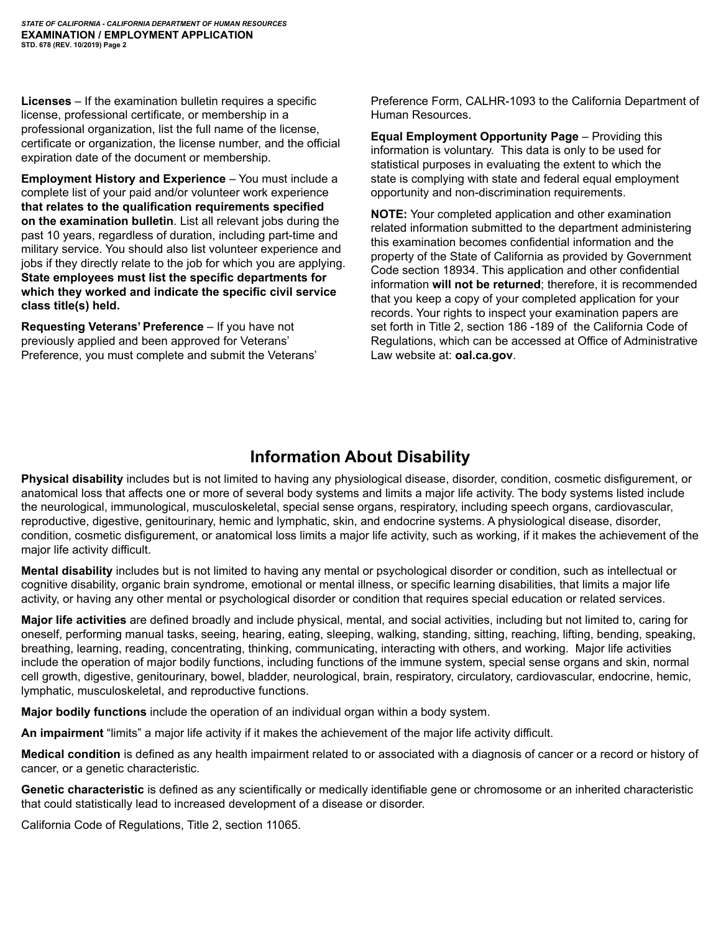**Licenses** – If the examination bulletin requires a specific license, professional certificate, or membership in a professional organization, list the full name of the license, certificate or organization, the license number, and the official expiration date of the document or membership.

**Employment History and Experience** – You must include a complete list of your paid and/or volunteer work experience **that relates to the qualification requirements specified on the examination bulletin**. List all relevant jobs during the past 10 years, regardless of duration, including part-time and military service. You should also list volunteer experience and jobs if they directly relate to the job for which you are applying. **State employees must list the specific departments for which they worked and indicate the specific civil service class title(s) held.**

**Requesting Veterans' Preference** – If you have not previously applied and been approved for Veterans' Preference, you must complete and submit the Veterans' Preference Form, CALHR-1093 to the California Department of Human Resources.

**Equal Employment Opportunity Page** – Providing this information is voluntary. This data is only to be used for statistical purposes in evaluating the extent to which the state is complying with state and federal equal employment opportunity and non-discrimination requirements.

**NOTE:** Your completed application and other examination related information submitted to the department administering this examination becomes confidential information and the property of the State of California as provided by Government Code section 18934. This application and other confidential information **will not be returned**; therefore, it is recommended that you keep a copy of your completed application for your records. Your rights to inspect your examination papers are set forth in Title 2, section 186 -189 of the California Code of Regulations, which can be accessed at Office of Administrative Law website at: **oal.ca.gov**.

# **Information About Disability**

**Physical disability** includes but is not limited to having any physiological disease, disorder, condition, cosmetic disfigurement, or anatomical loss that affects one or more of several body systems and limits a major life activity. The body systems listed include the neurological, immunological, musculoskeletal, special sense organs, respiratory, including speech organs, cardiovascular, reproductive, digestive, genitourinary, hemic and lymphatic, skin, and endocrine systems. A physiological disease, disorder, condition, cosmetic disfigurement, or anatomical loss limits a major life activity, such as working, if it makes the achievement of the major life activity difficult.

**Mental disability** includes but is not limited to having any mental or psychological disorder or condition, such as intellectual or cognitive disability, organic brain syndrome, emotional or mental illness, or specific learning disabilities, that limits a major life activity, or having any other mental or psychological disorder or condition that requires special education or related services.

**Major life activities** are defined broadly and include physical, mental, and social activities, including but not limited to, caring for oneself, performing manual tasks, seeing, hearing, eating, sleeping, walking, standing, sitting, reaching, lifting, bending, speaking, breathing, learning, reading, concentrating, thinking, communicating, interacting with others, and working. Major life activities include the operation of major bodily functions, including functions of the immune system, special sense organs and skin, normal cell growth, digestive, genitourinary, bowel, bladder, neurological, brain, respiratory, circulatory, cardiovascular, endocrine, hemic, lymphatic, musculoskeletal, and reproductive functions.

**Major bodily functions** include the operation of an individual organ within a body system.

**An impairment** "limits" a major life activity if it makes the achievement of the major life activity difficult.

**Medical condition** is defined as any health impairment related to or associated with a diagnosis of cancer or a record or history of cancer, or a genetic characteristic.

**Genetic characteristic** is defined as any scientifically or medically identifiable gene or chromosome or an inherited characteristic that could statistically lead to increased development of a disease or disorder.

California Code of Regulations, Title 2, section 11065.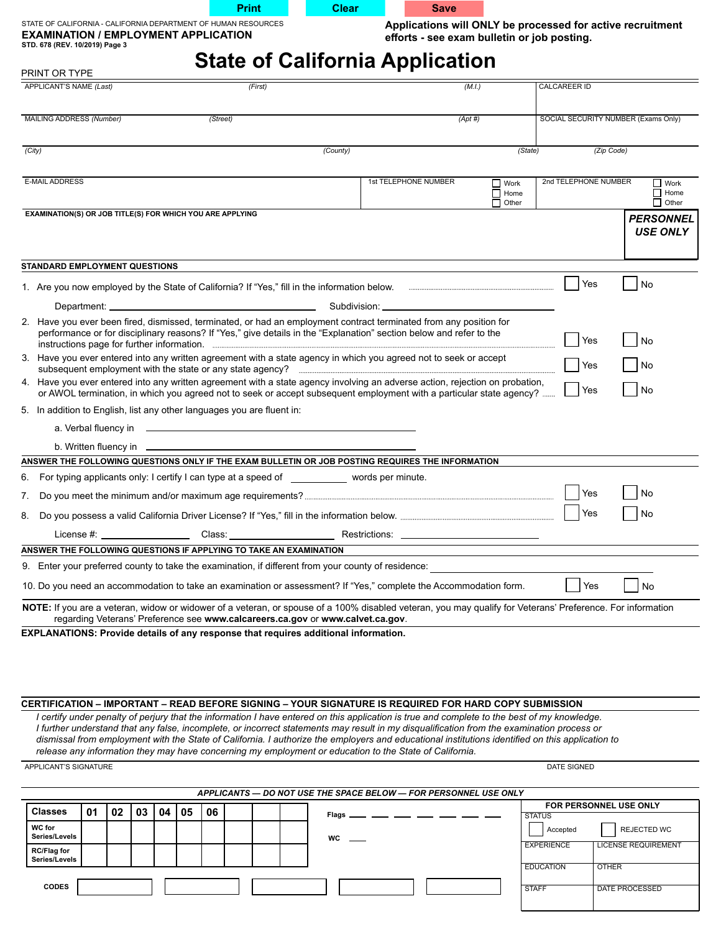| <b>Print</b> |
|--------------|
|              |



| STATE OF CALIFORNIA - CALIFORNIA DEPARTMENT OF HUMAN RESOURCES |
|----------------------------------------------------------------|
| <b>EXAMINATION / EMPLOYMENT APPLICATION</b>                    |
| STD. 678 (REV. 10/2019) Page 3                                 |

**Applications will ONLY be processed for active recruitment efforts - see exam bulletin or job posting.**

# **State of California Application**

| PRINT OR TYPE                                                                                                                                                                                                                                                                                                                                                                                                                                                                                                                                                                                                                                                      |    |    |    |    |    |          |                                                                                |           |                                                                                            | olalo or oamorma Application                                                                                                           |            |                                            |                                  |                        |              |                                            |
|--------------------------------------------------------------------------------------------------------------------------------------------------------------------------------------------------------------------------------------------------------------------------------------------------------------------------------------------------------------------------------------------------------------------------------------------------------------------------------------------------------------------------------------------------------------------------------------------------------------------------------------------------------------------|----|----|----|----|----|----------|--------------------------------------------------------------------------------|-----------|--------------------------------------------------------------------------------------------|----------------------------------------------------------------------------------------------------------------------------------------|------------|--------------------------------------------|----------------------------------|------------------------|--------------|--------------------------------------------|
| APPLICANT'S NAME (Last)                                                                                                                                                                                                                                                                                                                                                                                                                                                                                                                                                                                                                                            |    |    |    |    |    |          | (First)                                                                        |           |                                                                                            |                                                                                                                                        | (M.I.)     |                                            |                                  | <b>CALCAREER ID</b>    |              |                                            |
| MAILING ADDRESS (Number)                                                                                                                                                                                                                                                                                                                                                                                                                                                                                                                                                                                                                                           |    |    |    |    |    | (Street) |                                                                                |           |                                                                                            |                                                                                                                                        | $(Apt \#)$ |                                            |                                  |                        |              | SOCIAL SECURITY NUMBER (Exams Only)        |
| (City)                                                                                                                                                                                                                                                                                                                                                                                                                                                                                                                                                                                                                                                             |    |    |    |    |    |          |                                                                                | (County)  |                                                                                            |                                                                                                                                        |            | (State)                                    |                                  |                        | (Zip Code)   |                                            |
| <b>E-MAIL ADDRESS</b>                                                                                                                                                                                                                                                                                                                                                                                                                                                                                                                                                                                                                                              |    |    |    |    |    |          |                                                                                |           |                                                                                            | 1st TELEPHONE NUMBER                                                                                                                   |            | $\Box$ Work<br>$\Box$ Home<br>$\Box$ Other |                                  | 2nd TELEPHONE NUMBER   |              | $\Box$ Work<br>$\Box$ Home<br>$\Box$ Other |
| EXAMINATION(S) OR JOB TITLE(S) FOR WHICH YOU ARE APPLYING                                                                                                                                                                                                                                                                                                                                                                                                                                                                                                                                                                                                          |    |    |    |    |    |          |                                                                                |           |                                                                                            |                                                                                                                                        |            |                                            |                                  |                        |              | <b>PERSONNEL</b>                           |
|                                                                                                                                                                                                                                                                                                                                                                                                                                                                                                                                                                                                                                                                    |    |    |    |    |    |          |                                                                                |           |                                                                                            |                                                                                                                                        |            |                                            |                                  |                        |              | <b>USE ONLY</b>                            |
| STANDARD EMPLOYMENT QUESTIONS                                                                                                                                                                                                                                                                                                                                                                                                                                                                                                                                                                                                                                      |    |    |    |    |    |          |                                                                                |           |                                                                                            |                                                                                                                                        |            |                                            |                                  |                        |              |                                            |
|                                                                                                                                                                                                                                                                                                                                                                                                                                                                                                                                                                                                                                                                    |    |    |    |    |    |          |                                                                                |           |                                                                                            |                                                                                                                                        |            |                                            |                                  | Yes                    |              | No                                         |
|                                                                                                                                                                                                                                                                                                                                                                                                                                                                                                                                                                                                                                                                    |    |    |    |    |    |          |                                                                                |           |                                                                                            |                                                                                                                                        |            |                                            |                                  |                        |              |                                            |
| 2. Have you ever been fired, dismissed, terminated, or had an employment contract terminated from any position for                                                                                                                                                                                                                                                                                                                                                                                                                                                                                                                                                 |    |    |    |    |    |          |                                                                                |           |                                                                                            | performance or for disciplinary reasons? If "Yes," give details in the "Explanation" section below and refer to the                    |            |                                            |                                  | Yes                    |              | $\overline{\phantom{a}}$ No                |
| 3. Have you ever entered into any written agreement with a state agency in which you agreed not to seek or accept                                                                                                                                                                                                                                                                                                                                                                                                                                                                                                                                                  |    |    |    |    |    |          |                                                                                |           |                                                                                            | subsequent employment with the state or any state agency? manufactured and all content temployment with the state or any state agency? |            |                                            |                                  | Yes                    |              | No                                         |
| 4. Have you ever entered into any written agreement with a state agency involving an adverse action, rejection on probation,                                                                                                                                                                                                                                                                                                                                                                                                                                                                                                                                       |    |    |    |    |    |          |                                                                                |           |                                                                                            | or AWOL termination, in which you agreed not to seek or accept subsequent employment with a particular state agency?                   |            |                                            |                                  | Yes                    |              | No                                         |
| 5. In addition to English, list any other languages you are fluent in:                                                                                                                                                                                                                                                                                                                                                                                                                                                                                                                                                                                             |    |    |    |    |    |          |                                                                                |           |                                                                                            |                                                                                                                                        |            |                                            |                                  |                        |              |                                            |
|                                                                                                                                                                                                                                                                                                                                                                                                                                                                                                                                                                                                                                                                    |    |    |    |    |    |          |                                                                                |           |                                                                                            |                                                                                                                                        |            |                                            |                                  |                        |              |                                            |
|                                                                                                                                                                                                                                                                                                                                                                                                                                                                                                                                                                                                                                                                    |    |    |    |    |    |          |                                                                                |           |                                                                                            |                                                                                                                                        |            |                                            |                                  |                        |              |                                            |
| ANSWER THE FOLLOWING QUESTIONS ONLY IF THE EXAM BULLETIN OR JOB POSTING REQUIRES THE INFORMATION                                                                                                                                                                                                                                                                                                                                                                                                                                                                                                                                                                   |    |    |    |    |    |          |                                                                                |           |                                                                                            |                                                                                                                                        |            |                                            |                                  |                        |              |                                            |
| 6.                                                                                                                                                                                                                                                                                                                                                                                                                                                                                                                                                                                                                                                                 |    |    |    |    |    |          |                                                                                |           | For typing applicants only: I certify I can type at a speed of _________ words per minute. |                                                                                                                                        |            |                                            |                                  |                        |              |                                            |
| 7.                                                                                                                                                                                                                                                                                                                                                                                                                                                                                                                                                                                                                                                                 |    |    |    |    |    |          |                                                                                |           |                                                                                            |                                                                                                                                        |            |                                            |                                  | Yes                    |              | No                                         |
| 8.                                                                                                                                                                                                                                                                                                                                                                                                                                                                                                                                                                                                                                                                 |    |    |    |    |    |          |                                                                                |           |                                                                                            |                                                                                                                                        |            |                                            |                                  | Yes                    |              | No                                         |
|                                                                                                                                                                                                                                                                                                                                                                                                                                                                                                                                                                                                                                                                    |    |    |    |    |    |          |                                                                                |           |                                                                                            |                                                                                                                                        |            |                                            |                                  |                        |              |                                            |
| ANSWER THE FOLLOWING QUESTIONS IF APPLYING TO TAKE AN EXAMINATION                                                                                                                                                                                                                                                                                                                                                                                                                                                                                                                                                                                                  |    |    |    |    |    |          |                                                                                |           |                                                                                            |                                                                                                                                        |            |                                            |                                  |                        |              |                                            |
| 9. Enter your preferred county to take the examination, if different from your county of residence:                                                                                                                                                                                                                                                                                                                                                                                                                                                                                                                                                                |    |    |    |    |    |          |                                                                                |           |                                                                                            |                                                                                                                                        |            |                                            |                                  |                        |              |                                            |
| 10. Do you need an accommodation to take an examination or assessment? If "Yes," complete the Accommodation form.                                                                                                                                                                                                                                                                                                                                                                                                                                                                                                                                                  |    |    |    |    |    |          |                                                                                |           |                                                                                            |                                                                                                                                        |            |                                            |                                  | Yes                    |              | No                                         |
| NOTE: If you are a veteran, widow or widower of a veteran, or spouse of a 100% disabled veteran, you may qualify for Veterans' Preference. For information                                                                                                                                                                                                                                                                                                                                                                                                                                                                                                         |    |    |    |    |    |          | regarding Veterans' Preference see www.calcareers.ca.gov or www.calvet.ca.gov. |           |                                                                                            |                                                                                                                                        |            |                                            |                                  |                        |              |                                            |
| EXPLANATIONS: Provide details of any response that requires additional information.                                                                                                                                                                                                                                                                                                                                                                                                                                                                                                                                                                                |    |    |    |    |    |          |                                                                                |           |                                                                                            |                                                                                                                                        |            |                                            |                                  |                        |              |                                            |
|                                                                                                                                                                                                                                                                                                                                                                                                                                                                                                                                                                                                                                                                    |    |    |    |    |    |          |                                                                                |           |                                                                                            |                                                                                                                                        |            |                                            |                                  |                        |              |                                            |
|                                                                                                                                                                                                                                                                                                                                                                                                                                                                                                                                                                                                                                                                    |    |    |    |    |    |          |                                                                                |           |                                                                                            |                                                                                                                                        |            |                                            |                                  |                        |              |                                            |
| CERTIFICATION – IMPORTANT – READ BEFORE SIGNING – YOUR SIGNATURE IS REQUIRED FOR HARD COPY SUBMISSION<br>I certify under penalty of perjury that the information I have entered on this application is true and complete to the best of my knowledge.<br>I further understand that any false, incomplete, or incorrect statements may result in my disqualification from the examination process or<br>dismissal from employment with the State of California. I authorize the employers and educational institutions identified on this application to<br>release any information they may have concerning my employment or education to the State of California. |    |    |    |    |    |          |                                                                                |           |                                                                                            |                                                                                                                                        |            |                                            |                                  |                        |              |                                            |
| APPLICANT'S SIGNATURE                                                                                                                                                                                                                                                                                                                                                                                                                                                                                                                                                                                                                                              |    |    |    |    |    |          |                                                                                |           |                                                                                            |                                                                                                                                        |            |                                            |                                  | <b>DATE SIGNED</b>     |              |                                            |
|                                                                                                                                                                                                                                                                                                                                                                                                                                                                                                                                                                                                                                                                    |    |    |    |    |    |          |                                                                                |           |                                                                                            | APPLICANTS - DO NOT USE THE SPACE BELOW - FOR PERSONNEL USE ONLY                                                                       |            |                                            |                                  |                        |              |                                            |
| <b>Classes</b>                                                                                                                                                                                                                                                                                                                                                                                                                                                                                                                                                                                                                                                     | 01 | 02 | 03 | 04 | 05 | 06       |                                                                                | Flags     |                                                                                            |                                                                                                                                        |            |                                            | <b>STATUS</b>                    | FOR PERSONNEL USE ONLY |              |                                            |
| <b>WC</b> for<br>Series/Levels                                                                                                                                                                                                                                                                                                                                                                                                                                                                                                                                                                                                                                     |    |    |    |    |    |          |                                                                                | <b>WC</b> |                                                                                            |                                                                                                                                        |            |                                            | <b>EXPERIENCE</b>                | Accepted               |              | REJECTED WC<br><b>LICENSE REQUIREMENT</b>  |
| <b>RC/Flag for</b><br>Series/Levels                                                                                                                                                                                                                                                                                                                                                                                                                                                                                                                                                                                                                                |    |    |    |    |    |          |                                                                                |           |                                                                                            |                                                                                                                                        |            |                                            |                                  |                        |              |                                            |
| <b>CODES</b>                                                                                                                                                                                                                                                                                                                                                                                                                                                                                                                                                                                                                                                       |    |    |    |    |    |          |                                                                                |           |                                                                                            |                                                                                                                                        |            |                                            | <b>EDUCATION</b><br><b>STAFF</b> |                        | <b>OTHER</b> | <b>DATE PROCESSED</b>                      |
|                                                                                                                                                                                                                                                                                                                                                                                                                                                                                                                                                                                                                                                                    |    |    |    |    |    |          |                                                                                |           |                                                                                            |                                                                                                                                        |            |                                            |                                  |                        |              |                                            |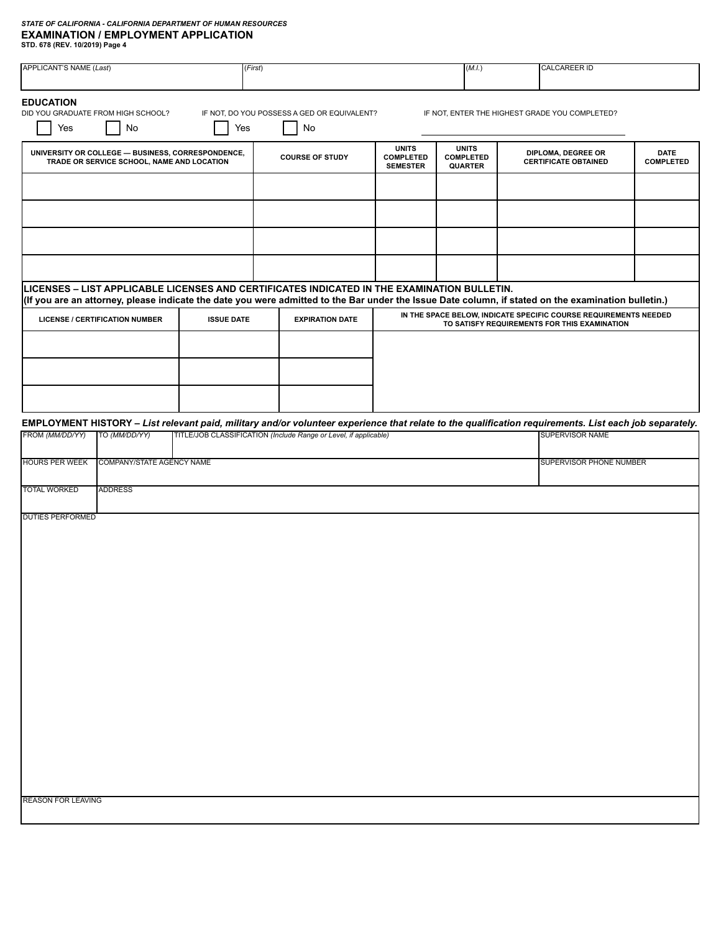| <b>APPLICANT'S NAME (Last)</b> |                                                                                                 | (First)           |                                                                                                                                                        |                                                     | (M.I.)                                             | <b>CALCAREER ID</b>                                              |                                 |
|--------------------------------|-------------------------------------------------------------------------------------------------|-------------------|--------------------------------------------------------------------------------------------------------------------------------------------------------|-----------------------------------------------------|----------------------------------------------------|------------------------------------------------------------------|---------------------------------|
| <b>EDUCATION</b><br>Yes        | DID YOU GRADUATE FROM HIGH SCHOOL?<br>No                                                        | Yes               | IF NOT, DO YOU POSSESS A GED OR EQUIVALENT?<br>No                                                                                                      |                                                     |                                                    | IF NOT, ENTER THE HIGHEST GRADE YOU COMPLETED?                   |                                 |
|                                | UNIVERSITY OR COLLEGE - BUSINESS, CORRESPONDENCE,<br>TRADE OR SERVICE SCHOOL, NAME AND LOCATION |                   | <b>COURSE OF STUDY</b>                                                                                                                                 | <b>UNITS</b><br><b>COMPLETED</b><br><b>SEMESTER</b> | <b>UNITS</b><br><b>COMPLETED</b><br><b>QUARTER</b> | DIPLOMA, DEGREE OR<br><b>CERTIFICATE OBTAINED</b>                | <b>DATE</b><br><b>COMPLETED</b> |
|                                |                                                                                                 |                   |                                                                                                                                                        |                                                     |                                                    |                                                                  |                                 |
|                                |                                                                                                 |                   |                                                                                                                                                        |                                                     |                                                    |                                                                  |                                 |
|                                |                                                                                                 |                   |                                                                                                                                                        |                                                     |                                                    |                                                                  |                                 |
|                                |                                                                                                 |                   | LICENSES - LIST APPLICABLE LICENSES AND CERTIFICATES INDICATED IN THE EXAMINATION BULLETIN.                                                            |                                                     |                                                    |                                                                  |                                 |
|                                |                                                                                                 |                   | (If you are an attorney, please indicate the date you were admitted to the Bar under the Issue Date column, if stated on the examination bulletin.)    |                                                     |                                                    | IN THE SPACE BELOW, INDICATE SPECIFIC COURSE REQUIREMENTS NEEDED |                                 |
|                                | <b>LICENSE / CERTIFICATION NUMBER</b>                                                           | <b>ISSUE DATE</b> | <b>EXPIRATION DATE</b>                                                                                                                                 |                                                     |                                                    | TO SATISFY REQUIREMENTS FOR THIS EXAMINATION                     |                                 |
|                                |                                                                                                 |                   |                                                                                                                                                        |                                                     |                                                    |                                                                  |                                 |
|                                |                                                                                                 |                   |                                                                                                                                                        |                                                     |                                                    |                                                                  |                                 |
|                                |                                                                                                 |                   | EMPLOYMENT HISTORY - List relevant paid, military and/or volunteer experience that relate to the qualification requirements. List each job separately. |                                                     |                                                    |                                                                  |                                 |
| FROM (MM/DD/YY)                | TO (MM/DD/YY)                                                                                   |                   | TITLE/JOB CLASSIFICATION (Include Range or Level, if applicable)                                                                                       |                                                     |                                                    | <b>SUPERVISOR NAME</b>                                           |                                 |
| <b>HOURS PER WEEK</b>          | COMPANY/STATE AGENCY NAME                                                                       |                   |                                                                                                                                                        |                                                     |                                                    | SUPERVISOR PHONE NUMBER                                          |                                 |
| <b>TOTAL WORKED</b>            | <b>ADDRESS</b>                                                                                  |                   |                                                                                                                                                        |                                                     |                                                    |                                                                  |                                 |
| <b>DUTIES PERFORMED</b>        |                                                                                                 |                   |                                                                                                                                                        |                                                     |                                                    |                                                                  |                                 |
|                                |                                                                                                 |                   |                                                                                                                                                        |                                                     |                                                    |                                                                  |                                 |
|                                |                                                                                                 |                   |                                                                                                                                                        |                                                     |                                                    |                                                                  |                                 |
|                                |                                                                                                 |                   |                                                                                                                                                        |                                                     |                                                    |                                                                  |                                 |
|                                |                                                                                                 |                   |                                                                                                                                                        |                                                     |                                                    |                                                                  |                                 |
|                                |                                                                                                 |                   |                                                                                                                                                        |                                                     |                                                    |                                                                  |                                 |
|                                |                                                                                                 |                   |                                                                                                                                                        |                                                     |                                                    |                                                                  |                                 |
|                                |                                                                                                 |                   |                                                                                                                                                        |                                                     |                                                    |                                                                  |                                 |
|                                |                                                                                                 |                   |                                                                                                                                                        |                                                     |                                                    |                                                                  |                                 |
|                                |                                                                                                 |                   |                                                                                                                                                        |                                                     |                                                    |                                                                  |                                 |
| <b>REASON FOR LEAVING</b>      |                                                                                                 |                   |                                                                                                                                                        |                                                     |                                                    |                                                                  |                                 |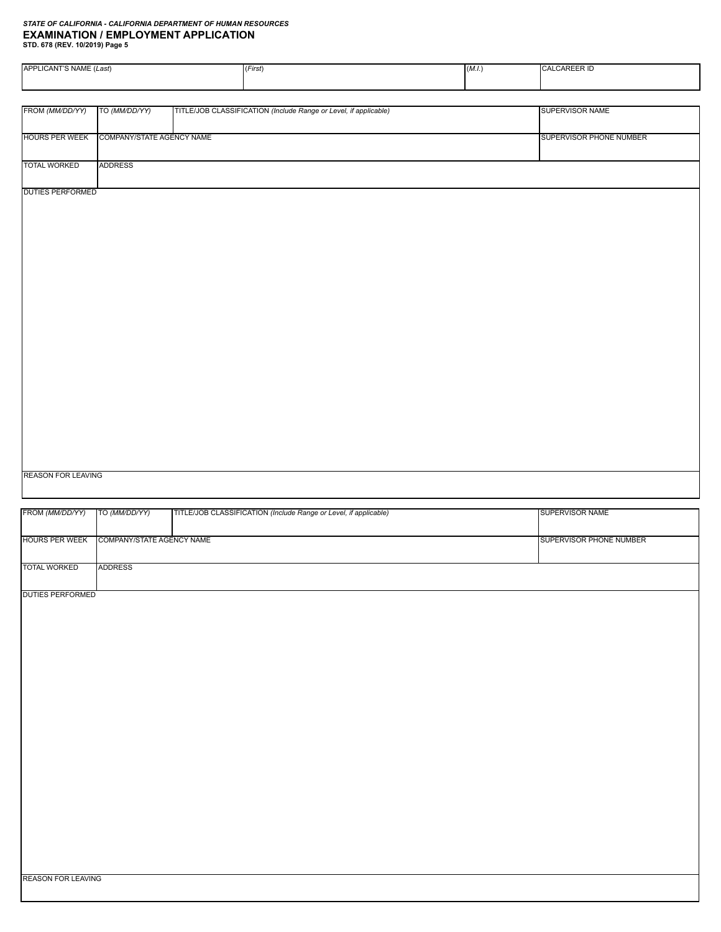| APPLICANT'S NAME (Last)   |                           | (First)                                                          | (M.I.) | CALCAREER ID            |
|---------------------------|---------------------------|------------------------------------------------------------------|--------|-------------------------|
|                           |                           |                                                                  |        |                         |
| FROM (MM/DD/YY)           | TO (MM/DD/YY)             | TITLE/JOB CLASSIFICATION (Include Range or Level, if applicable) |        | SUPERVISOR NAME         |
| <b>HOURS PER WEEK</b>     | COMPANY/STATE AGENCY NAME |                                                                  |        | SUPERVISOR PHONE NUMBER |
| <b>TOTAL WORKED</b>       | ADDRESS                   |                                                                  |        |                         |
| <b>DUTIES PERFORMED</b>   |                           |                                                                  |        |                         |
|                           |                           |                                                                  |        |                         |
|                           |                           |                                                                  |        |                         |
|                           |                           |                                                                  |        |                         |
|                           |                           |                                                                  |        |                         |
|                           |                           |                                                                  |        |                         |
|                           |                           |                                                                  |        |                         |
|                           |                           |                                                                  |        |                         |
|                           |                           |                                                                  |        |                         |
|                           |                           |                                                                  |        |                         |
|                           |                           |                                                                  |        |                         |
| <b>REASON FOR LEAVING</b> |                           |                                                                  |        |                         |

| FROM (MM/DD/YY)           | TO (MM/DD/YY)             | TITLE/JOB CLASSIFICATION (Include Range or Level, if applicable) | SUPERVISOR NAME         |
|---------------------------|---------------------------|------------------------------------------------------------------|-------------------------|
| <b>HOURS PER WEEK</b>     | COMPANY/STATE AGENCY NAME |                                                                  | SUPERVISOR PHONE NUMBER |
|                           |                           |                                                                  |                         |
| <b>TOTAL WORKED</b>       | <b>ADDRESS</b>            |                                                                  |                         |
| <b>DUTIES PERFORMED</b>   |                           |                                                                  |                         |
|                           |                           |                                                                  |                         |
|                           |                           |                                                                  |                         |
|                           |                           |                                                                  |                         |
|                           |                           |                                                                  |                         |
|                           |                           |                                                                  |                         |
|                           |                           |                                                                  |                         |
|                           |                           |                                                                  |                         |
|                           |                           |                                                                  |                         |
|                           |                           |                                                                  |                         |
|                           |                           |                                                                  |                         |
|                           |                           |                                                                  |                         |
|                           |                           |                                                                  |                         |
|                           |                           |                                                                  |                         |
| <b>REASON FOR LEAVING</b> |                           |                                                                  |                         |
|                           |                           |                                                                  |                         |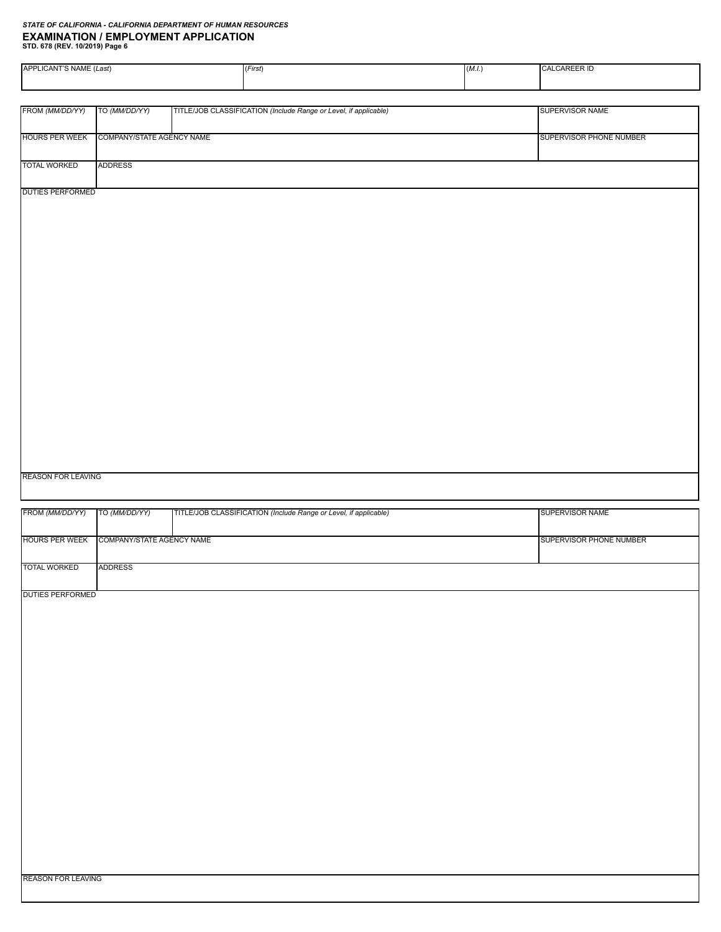| APPLICANT'S NAME (Last)   |                           | (First)                                                          | (M.I.) | CALCAREER ID            |
|---------------------------|---------------------------|------------------------------------------------------------------|--------|-------------------------|
|                           |                           |                                                                  |        |                         |
|                           |                           |                                                                  |        |                         |
| FROM (MM/DD/YY)           | TO (MM/DD/YY)             | TITLE/JOB CLASSIFICATION (Include Range or Level, if applicable) |        | SUPERVISOR NAME         |
|                           |                           |                                                                  |        |                         |
| <b>HOURS PER WEEK</b>     | COMPANY/STATE AGENCY NAME |                                                                  |        | SUPERVISOR PHONE NUMBER |
|                           |                           |                                                                  |        |                         |
| <b>TOTAL WORKED</b>       | ADDRESS                   |                                                                  |        |                         |
|                           |                           |                                                                  |        |                         |
| <b>DUTIES PERFORMED</b>   |                           |                                                                  |        |                         |
|                           |                           |                                                                  |        |                         |
|                           |                           |                                                                  |        |                         |
|                           |                           |                                                                  |        |                         |
|                           |                           |                                                                  |        |                         |
|                           |                           |                                                                  |        |                         |
|                           |                           |                                                                  |        |                         |
|                           |                           |                                                                  |        |                         |
|                           |                           |                                                                  |        |                         |
|                           |                           |                                                                  |        |                         |
|                           |                           |                                                                  |        |                         |
|                           |                           |                                                                  |        |                         |
|                           |                           |                                                                  |        |                         |
|                           |                           |                                                                  |        |                         |
|                           |                           |                                                                  |        |                         |
|                           |                           |                                                                  |        |                         |
|                           |                           |                                                                  |        |                         |
|                           |                           |                                                                  |        |                         |
|                           |                           |                                                                  |        |                         |
|                           |                           |                                                                  |        |                         |
|                           |                           |                                                                  |        |                         |
|                           |                           |                                                                  |        |                         |
| <b>REASON FOR LEAVING</b> |                           |                                                                  |        |                         |
|                           |                           |                                                                  |        |                         |
|                           |                           |                                                                  |        |                         |

| FROM (MM/DD/YY)           | TO (MM/DD/YY)             | TITLE/JOB CLASSIFICATION (Include Range or Level, if applicable) | <b>SUPERVISOR NAME</b>  |
|---------------------------|---------------------------|------------------------------------------------------------------|-------------------------|
| <b>HOURS PER WEEK</b>     | COMPANY/STATE AGENCY NAME |                                                                  | SUPERVISOR PHONE NUMBER |
| <b>TOTAL WORKED</b>       | <b>ADDRESS</b>            |                                                                  |                         |
| <b>DUTIES PERFORMED</b>   |                           |                                                                  |                         |
|                           |                           |                                                                  |                         |
|                           |                           |                                                                  |                         |
|                           |                           |                                                                  |                         |
|                           |                           |                                                                  |                         |
|                           |                           |                                                                  |                         |
|                           |                           |                                                                  |                         |
|                           |                           |                                                                  |                         |
|                           |                           |                                                                  |                         |
|                           |                           |                                                                  |                         |
|                           |                           |                                                                  |                         |
| <b>REASON FOR LEAVING</b> |                           |                                                                  |                         |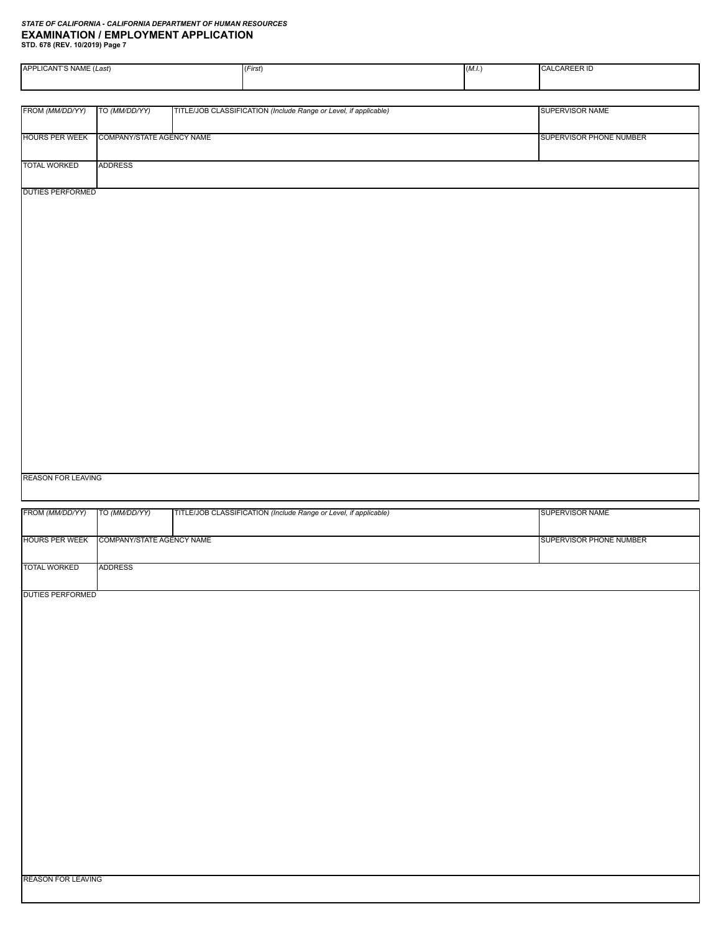| APPLICANT'S NAME (Last)         |                           | (First)                                                          | CALCAREER ID |                         |
|---------------------------------|---------------------------|------------------------------------------------------------------|--------------|-------------------------|
|                                 |                           |                                                                  |              |                         |
|                                 |                           |                                                                  |              |                         |
| FROM (MM/DD/YY)                 | TO (MM/DD/YY)             | TITLE/JOB CLASSIFICATION (Include Range or Level, if applicable) |              | SUPERVISOR NAME         |
|                                 |                           |                                                                  |              |                         |
| <b>HOURS PER WEEK</b>           | COMPANY/STATE AGENCY NAME |                                                                  |              | SUPERVISOR PHONE NUMBER |
|                                 |                           |                                                                  |              |                         |
| <b>TOTAL WORKED</b>             | <b>ADDRESS</b>            |                                                                  |              |                         |
|                                 |                           |                                                                  |              |                         |
| <b>DUTIES PERFORMED</b>         |                           |                                                                  |              |                         |
|                                 |                           |                                                                  |              |                         |
|                                 |                           |                                                                  |              |                         |
|                                 |                           |                                                                  |              |                         |
|                                 |                           |                                                                  |              |                         |
|                                 |                           |                                                                  |              |                         |
|                                 |                           |                                                                  |              |                         |
|                                 |                           |                                                                  |              |                         |
|                                 |                           |                                                                  |              |                         |
|                                 |                           |                                                                  |              |                         |
|                                 |                           |                                                                  |              |                         |
|                                 |                           |                                                                  |              |                         |
|                                 |                           |                                                                  |              |                         |
|                                 |                           |                                                                  |              |                         |
|                                 |                           |                                                                  |              |                         |
|                                 |                           |                                                                  |              |                         |
|                                 |                           |                                                                  |              |                         |
|                                 |                           |                                                                  |              |                         |
|                                 |                           |                                                                  |              |                         |
|                                 |                           |                                                                  |              |                         |
|                                 |                           |                                                                  |              |                         |
|                                 |                           |                                                                  |              |                         |
| <b>REASON FOR LEAVING</b>       |                           |                                                                  |              |                         |
|                                 |                           |                                                                  |              |                         |
| FROM (MM/DD/YY)   TO (MM/DD/YY) |                           | TITLE/JOB CLASSIFICATION (Include Range or Level, if applicable) |              | SUPERVISOR NAME         |

| <b>FROM (MM/DD/YY)</b>   IO (MM/DD/YY) |                           | THE LEGGE CLASSIFICATION (include Range or Level, if applicable) | SUPERVISOR NAME                |
|----------------------------------------|---------------------------|------------------------------------------------------------------|--------------------------------|
| <b>HOURS PER WEEK</b>                  | COMPANY/STATE AGENCY NAME |                                                                  | <b>SUPERVISOR PHONE NUMBER</b> |
| <b>TOTAL WORKED</b>                    | ADDRESS                   |                                                                  |                                |
| <b>DUTIES PERFORMED</b>                |                           |                                                                  |                                |
|                                        |                           |                                                                  |                                |
|                                        |                           |                                                                  |                                |
|                                        |                           |                                                                  |                                |
|                                        |                           |                                                                  |                                |
|                                        |                           |                                                                  |                                |
|                                        |                           |                                                                  |                                |
|                                        |                           |                                                                  |                                |
|                                        |                           |                                                                  |                                |
|                                        |                           |                                                                  |                                |
|                                        |                           |                                                                  |                                |
| <b>REASON FOR LEAVING</b>              |                           |                                                                  |                                |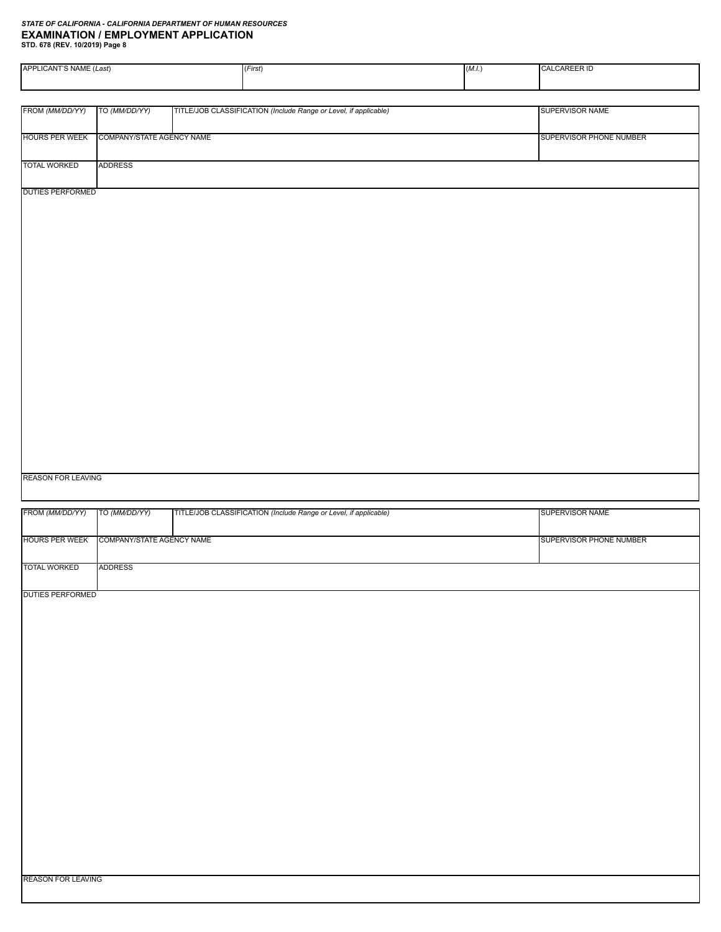| APPLICANT'S NAME (Last)   |                                          | (First)                                                          | (M.I.) | CALCAREER ID                   |
|---------------------------|------------------------------------------|------------------------------------------------------------------|--------|--------------------------------|
|                           |                                          |                                                                  |        |                                |
|                           |                                          |                                                                  |        | SUPERVISOR NAME                |
| FROM (MM/DD/YY)           | TO (MM/DD/YY)                            | TITLE/JOB CLASSIFICATION (Include Range or Level, if applicable) |        |                                |
| <b>HOURS PER WEEK</b>     | COMPANY/STATE AGENCY NAME                |                                                                  |        | SUPERVISOR PHONE NUMBER        |
| <b>TOTAL WORKED</b>       | <b>ADDRESS</b>                           |                                                                  |        |                                |
| <b>DUTIES PERFORMED</b>   |                                          |                                                                  |        |                                |
|                           |                                          |                                                                  |        |                                |
|                           |                                          |                                                                  |        |                                |
|                           |                                          |                                                                  |        |                                |
|                           |                                          |                                                                  |        |                                |
|                           |                                          |                                                                  |        |                                |
|                           |                                          |                                                                  |        |                                |
|                           |                                          |                                                                  |        |                                |
|                           |                                          |                                                                  |        |                                |
|                           |                                          |                                                                  |        |                                |
|                           |                                          |                                                                  |        |                                |
|                           |                                          |                                                                  |        |                                |
|                           |                                          |                                                                  |        |                                |
|                           |                                          |                                                                  |        |                                |
|                           |                                          |                                                                  |        |                                |
|                           |                                          |                                                                  |        |                                |
| <b>REASON FOR LEAVING</b> |                                          |                                                                  |        |                                |
| FROM (MM/DD/YY)           | TO (MM/DD/YY)                            | TITLE/JOB CLASSIFICATION (Include Range or Level, if applicable) |        | SUPERVISOR NAME                |
|                           |                                          |                                                                  |        |                                |
|                           | HOURS PER WEEK COMPANY/STATE AGENCY NAME |                                                                  |        | <b>SUPERVISOR PHONE NUMBER</b> |

DUTIES PERFORMED

TOTAL WORKED

ADDRESS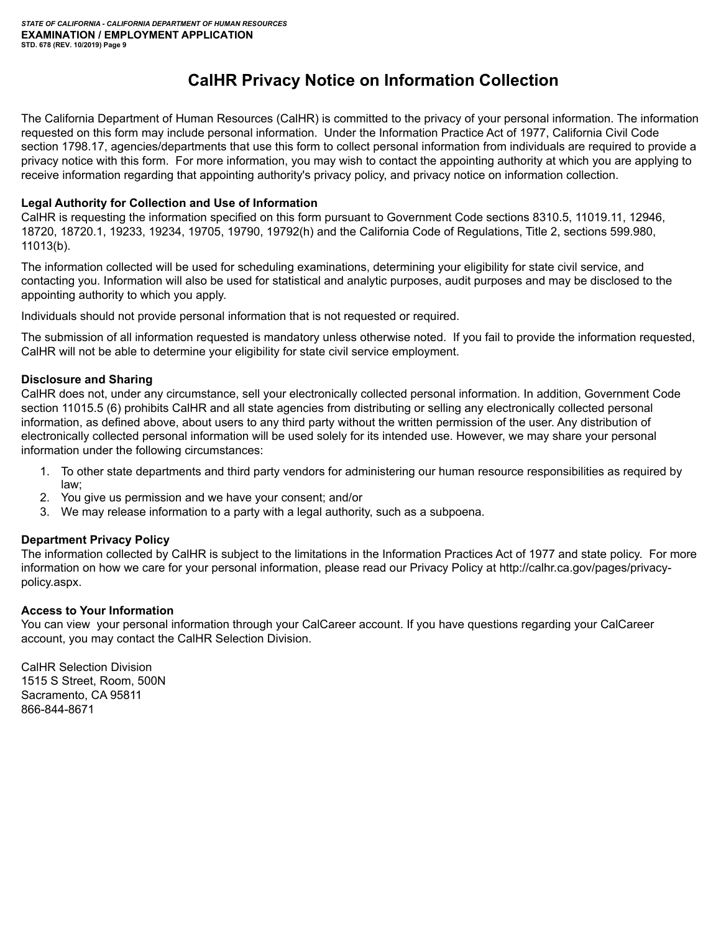# **CalHR Privacy Notice on Information Collection**

The California Department of Human Resources (CalHR) is committed to the privacy of your personal information. The information requested on this form may include personal information. Under the Information Practice Act of 1977, California Civil Code section 1798.17, agencies/departments that use this form to collect personal information from individuals are required to provide a privacy notice with this form. For more information, you may wish to contact the appointing authority at which you are applying to receive information regarding that appointing authority's privacy policy, and privacy notice on information collection.

#### **Legal Authority for Collection and Use of Information**

CalHR is requesting the information specified on this form pursuant to Government Code sections 8310.5, 11019.11, 12946, 18720, 18720.1, 19233, 19234, 19705, 19790, 19792(h) and the California Code of Regulations, Title 2, sections 599.980, 11013(b).

The information collected will be used for scheduling examinations, determining your eligibility for state civil service, and contacting you. Information will also be used for statistical and analytic purposes, audit purposes and may be disclosed to the appointing authority to which you apply.

Individuals should not provide personal information that is not requested or required.

The submission of all information requested is mandatory unless otherwise noted. If you fail to provide the information requested, CalHR will not be able to determine your eligibility for state civil service employment.

#### **Disclosure and Sharing**

CalHR does not, under any circumstance, sell your electronically collected personal information. In addition, Government Code section 11015.5 (6) prohibits CalHR and all state agencies from distributing or selling any electronically collected personal information, as defined above, about users to any third party without the written permission of the user. Any distribution of electronically collected personal information will be used solely for its intended use. However, we may share your personal information under the following circumstances:

- 1. To other state departments and third party vendors for administering our human resource responsibilities as required by law;
- 2. You give us permission and we have your consent; and/or
- 3. We may release information to a party with a legal authority, such as a subpoena.

#### **Department Privacy Policy**

The information collected by CalHR is subject to the limitations in the Information Practices Act of 1977 and state policy. For more information on how we care for your personal information, please read our Privacy Policy at http://calhr.ca.gov/pages/privacypolicy.aspx.

#### **Access to Your Information**

You can view your personal information through your CalCareer account. If you have questions regarding your CalCareer account, you may contact the CalHR Selection Division.

CalHR Selection Division 1515 S Street, Room, 500N Sacramento, CA 95811 866-844-8671